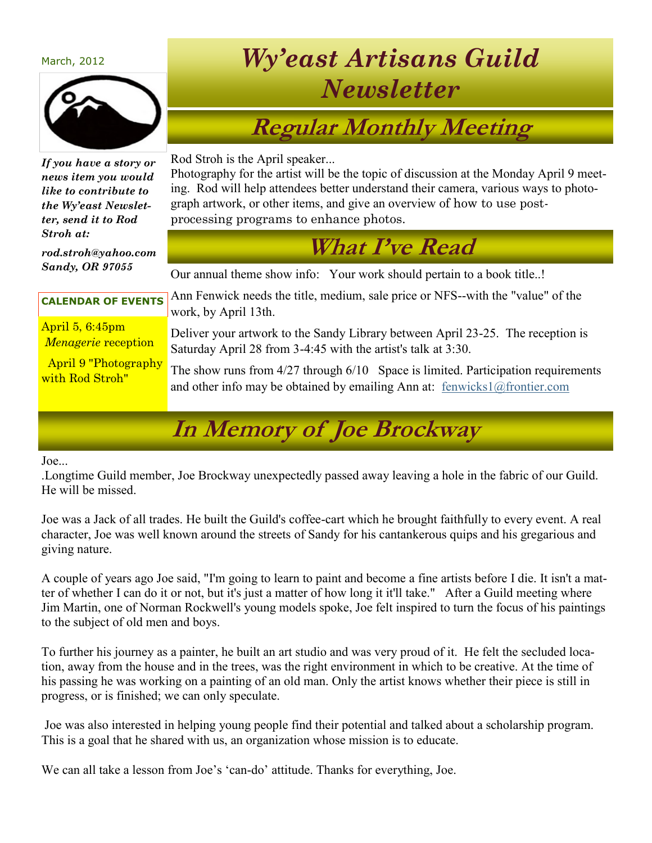#### March, 2012



#### *If you have a story or news item you would like to contribute to the Wy'east Newsletter, send it to Rod Stroh at:*

*rod.stroh@yahoo.com Sandy, OR 97055*

# *Wy'east Artisans Guild Newsletter*

# **Regular Monthly Meeting**

Rod Stroh is the April speaker...

Photography for the artist will be the topic of discussion at the Monday April 9 meeting. Rod will help attendees better understand their camera, various ways to photograph artwork, or other items, and give an overview of how to use postprocessing programs to enhance photos.

#### **What I've Read**

Our annual theme show info: Your work should pertain to a book title..!

#### **CALENDAR OF EVENTS**

April 5, 6:45pm *Menagerie* reception

April 9 "Photography with Rod Stroh"

Ann Fenwick needs the title, medium, sale price or NFS--with the "value" of the work, by April 13th.

Deliver your artwork to the Sandy Library between April 23-25. The reception is Saturday April 28 from 3-4:45 with the artist's talk at 3:30.

The show runs from 4/27 through 6/10 Space is limited. Participation requirements and other info may be obtained by emailing Ann at: [fenwicks1@frontier.com](mailto:fenwicks1@frontier.com)

# **In Memory of Joe Brockway**

Joe...

.Longtime Guild member, Joe Brockway unexpectedly passed away leaving a hole in the fabric of our Guild. He will be missed.

Joe was a Jack of all trades. He built the Guild's coffee-cart which he brought faithfully to every event. A real character, Joe was well known around the streets of Sandy for his cantankerous quips and his gregarious and giving nature.

A couple of years ago Joe said, "I'm going to learn to paint and become a fine artists before I die. It isn't a matter of whether I can do it or not, but it's just a matter of how long it it'll take." After a Guild meeting where Jim Martin, one of Norman Rockwell's young models spoke, Joe felt inspired to turn the focus of his paintings to the subject of old men and boys.

To further his journey as a painter, he built an art studio and was very proud of it. He felt the secluded location, away from the house and in the trees, was the right environment in which to be creative. At the time of his passing he was working on a painting of an old man. Only the artist knows whether their piece is still in progress, or is finished; we can only speculate.

Joe was also interested in helping young people find their potential and talked about a scholarship program. This is a goal that he shared with us, an organization whose mission is to educate.

We can all take a lesson from Joe's 'can-do' attitude. Thanks for everything, Joe.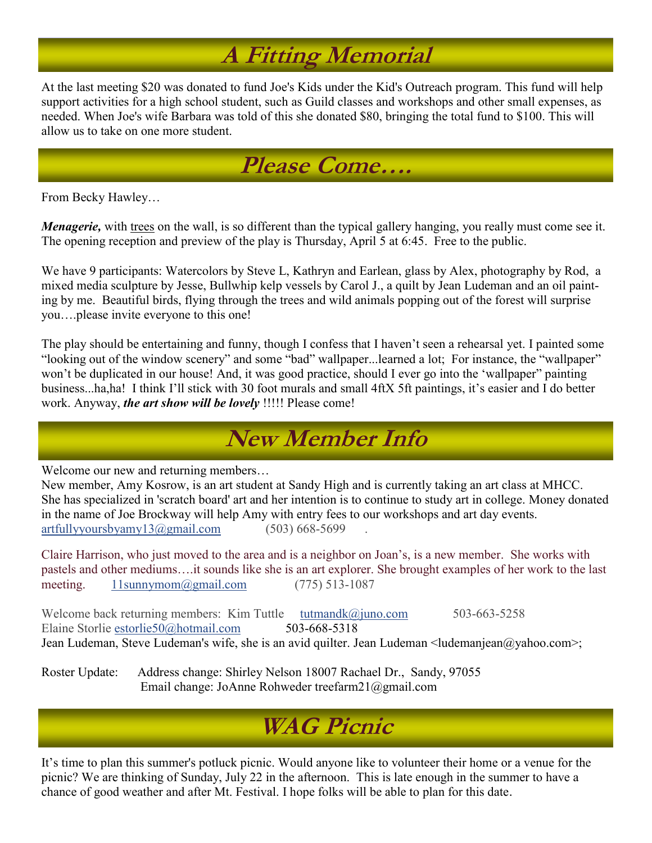# **A Fitting Memorial**

At the last meeting \$20 was donated to fund Joe's Kids under the Kid's Outreach program. This fund will help support activities for a high school student, such as Guild classes and workshops and other small expenses, as needed. When Joe's wife Barbara was told of this she donated \$80, bringing the total fund to \$100. This will allow us to take on one more student.



From Becky Hawley…

*Menagerie*, with trees on the wall, is so different than the typical gallery hanging, you really must come see it. The opening reception and preview of the play is Thursday, April 5 at 6:45. Free to the public.

We have 9 participants: Watercolors by Steve L, Kathryn and Earlean, glass by Alex, photography by Rod, a mixed media sculpture by Jesse, Bullwhip kelp vessels by Carol J., a quilt by Jean Ludeman and an oil painting by me. Beautiful birds, flying through the trees and wild animals popping out of the forest will surprise you….please invite everyone to this one!

The play should be entertaining and funny, though I confess that I haven't seen a rehearsal yet. I painted some "looking out of the window scenery" and some "bad" wallpaper...learned a lot; For instance, the "wallpaper" won't be duplicated in our house! And, it was good practice, should I ever go into the 'wallpaper" painting business...ha,ha! I think I'll stick with 30 foot murals and small 4ftX 5ft paintings, it's easier and I do better work. Anyway, *the art show will be lovely* !!!!! Please come!

## **New Member Info**

Welcome our new and returning members…

New member, Amy Kosrow, is an art student at Sandy High and is currently taking an art class at MHCC. She has specialized in 'scratch board' art and her intention is to continue to study art in college. Money donated in the name of Joe Brockway will help Amy with entry fees to our workshops and art day events.  $artfully \text{ours} by \text{amy13} @ \text{gmail.com}$  (503) 668-5699

Claire Harrison, who just moved to the area and is a neighbor on Joan's, is a new member. She works with pastels and other mediums….it sounds like she is an art explorer. She brought examples of her work to the last meeting. [11sunnymom@gmail.com](mailto:11sunnymom@gmail.com) (775) 513-1087

Welcome back returning members: Kim Tuttle [tutmandk@juno.com](mailto:tutmandk@juno.com) 503-663-5258<br>Elaine Storlie estorlie50@hotmail.com 503-668-5318 Elaine Storlie estorlie50@hotmail.com Jean Ludeman, Steve Ludeman's wife, she is an avid quilter. Jean Ludeman <ludemanjean@yahoo.com>;

Roster Update: Address change: Shirley Nelson 18007 Rachael Dr., Sandy, 97055 Email change: JoAnne Rohweder treefarm21@gmail.com

## **WAG Picnic**

It's time to plan this summer's potluck picnic. Would anyone like to volunteer their home or a venue for the picnic? We are thinking of Sunday, July 22 in the afternoon. This is late enough in the summer to have a chance of good weather and after Mt. Festival. I hope folks will be able to plan for this date.